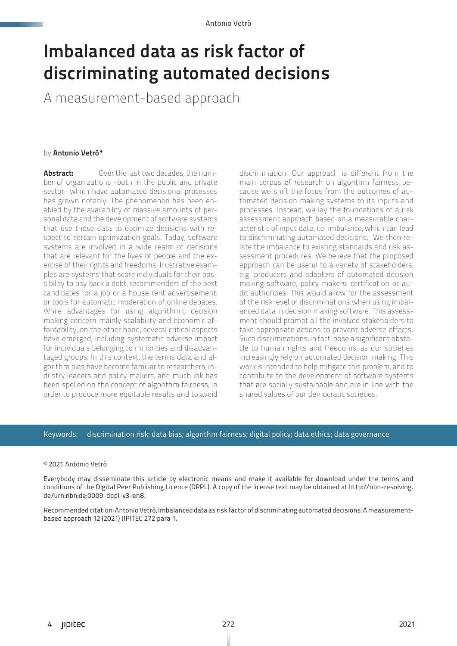# Imbalanced data as risk factor of discriminating automated decisions

A measurement-based approach

### by Antonio Vetrò\*

**Abstract:** Over the last two decades, the number of organizations -both in the public and private sector- which have automated decisional processes has grown notably. The phenomenon has been enabled by the availability of massive amounts of personal data and the development of software systems that use those data to optimize decisions with respect to certain optimization goals. Today, software systems are involved in a wide realm of decisions that are relevant for the lives of people and the exercise of their rights and freedoms. Illustrative examples are systems that score individuals for their possibility to pay back a debt, recommenders of the best candidates for a job or a house rent advertisement, or tools for automatic moderation of online debates. While advantages for using algorithmic decision making concern mainly scalability and economic affordability, on the other hand, several critical aspects have emerged, including systematic adverse impact for individuals belonging to minorities and disadvantaged groups. In this context, the terms data and algorithm bias have become familiar to researchers, industry leaders and policy makers, and much ink has been spelled on the concept of algorithm fairness, in order to produce more equitable results and to avoid

discrimination. Our approach is different from the main corpus of research on algorithm fairness because we shift the focus from the outcomes of automated decision making systems to its inputs and processes. Instead, we lay the foundations of a risk assessment approach based on a measurable characteristic of input data, i.e. imbalance, which can lead to discriminating automated decisions. We then relate the imbalance to existing standards and risk assessment procedures. We believe that the proposed approach can be useful to a variety of stakeholders, e.g. producers and adopters of automated decision making software, policy makers, certification or audit authorities. This would allow for the assessment of the risk level of discriminations when using imbalanced data in decision making software. This assessment should prompt all the involved stakeholders to take appropriate actions to prevent adverse effects. Such discriminations, in fact, pose a significant obstacle to human rights and freedoms, as our societies increasingly rely on automated decision making. This work is intended to help mitigate this problem, and to contribute to the development of software systems that are socially sustainable and are in line with the shared values of our democratic societies.

### Keywords: discrimination risk; data bias; algorithm fairness; digital policy; data ethics; data governance

### © 2021 Antonio Vetrò

Everybody may disseminate this article by electronic means and make it available for download under the terms and conditions of the Digital Peer Publishing Licence (DPPL). A copy of the license text may be obtained at [http://nbn-resolving.](http://nbn-resolving.de/urn:nbn:de:0009-dppl-v3-en8) [de/urn:nbn:de:0009-dppl-v3-en8.](http://nbn-resolving.de/urn:nbn:de:0009-dppl-v3-en8)

Recommended citation: Antonio Vetrò, Imbalanced data as risk factor of discriminating automated decisions: A measurementbased approach 12 (2021) JIPITEC 272 para 1.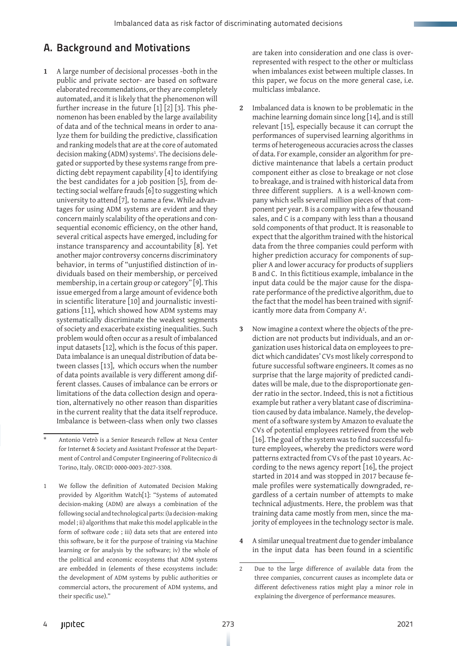# A. Background and Motivations

**1** A large number of decisional processes -both in the public and private sector- are based on software elaborated recommendations, or they are completely automated, and it is likely that the phenomenon will further increase in the future [1] [2] [3]. This phenomenon has been enabled by the large availability of data and of the technical means in order to analyze them for building the predictive, classification and ranking models that are at the core of automated decision making (ADM) systems<sup>1</sup>. The decisions delegated or supported by these systems range from predicting debt repayment capability [4] to identifying the best candidates for a job position [5], from detecting social welfare frauds [6] to suggesting which university to attend [7], to name a few. While advantages for using ADM systems are evident and they concern mainly scalability of the operations and consequential economic efficiency, on the other hand, several critical aspects have emerged, including for instance transparency and accountability [8]. Yet another major controversy concerns discriminatory behavior, in terms of "unjustified distinction of individuals based on their membership, or perceived membership, in a certain group or category" [9]. This issue emerged from a large amount of evidence both in scientific literature [10] and journalistic investigations [11], which showed how ADM systems may systematically discriminate the weakest segments of society and exacerbate existing inequalities. Such problem would often occur as a result of imbalanced input datasets [12], which is the focus of this paper. Data imbalance is an unequal distribution of data between classes [13], which occurs when the number of data points available is very different among different classes. Causes of imbalance can be errors or limitations of the data collection design and operation, alternatively no other reason than disparities in the current reality that the data itself reproduce. Imbalance is between-class when only two classes are taken into consideration and one class is overrepresented with respect to the other or multiclass when imbalances exist between multiple classes. In this paper, we focus on the more general case, i.e. multiclass imbalance.

- **2** Imbalanced data is known to be problematic in the machine learning domain since long [14], and is still relevant [15], especially because it can corrupt the performances of supervised learning algorithms in terms of heterogeneous accuracies across the classes of data. For example, consider an algorithm for predictive maintenance that labels a certain product component either as close to breakage or not close to breakage, and is trained with historical data from three different suppliers. A is a well-known company which sells several million pieces of that component per year. B is a company with a few thousand sales, and C is a company with less than a thousand sold components of that product. It is reasonable to expect that the algorithm trained with the historical data from the three companies could perform with higher prediction accuracy for components of supplier A and lower accuracy for products of suppliers B and C. In this fictitious example, imbalance in the input data could be the major cause for the disparate performance of the predictive algorithm, due to the fact that the model has been trained with significantly more data from Company  $A^2$ .
- **3** Now imagine a context where the objects of the prediction are not products but individuals, and an organization uses historical data on employees to predict which candidates' CVs most likely correspond to future successful software engineers. It comes as no surprise that the large majority of predicted candidates will be male, due to the disproportionate gender ratio in the sector. Indeed, this is not a fictitious example but rather a very blatant case of discrimination caused by data imbalance. Namely, the development of a software system by Amazon to evaluate the CVs of potential employees retrieved from the web [16]. The goal of the system was to find successful future employees, whereby the predictors were word patterns extracted from CVs of the past 10 years. According to the news agency report [16], the project started in 2014 and was stopped in 2017 because female profiles were systematically downgraded, regardless of a certain number of attempts to make technical adjustments. Here, the problem was that training data came mostly from men, since the majority of employees in the technology sector is male.
- **4** A similar unequal treatment due to gender imbalance in the input data has been found in a scientific

Antonio Vetrò is a Senior Research Fellow at Nexa Center for Internet & Society and Assistant Professor at the Department of Control and Computer Engineering of Politecnico di Torino, Italy. ORCID: 0000-0003-2027-3308.

<sup>1</sup> We follow the definition of Automated Decision Making provided by Algorithm Watch[1]: "Systems of automated decision-making (ADM) are always a combination of the following social and technological parts: i)a decision-making model ; ii) algorithms that make this model applicable in the form of software code ; iii) data sets that are entered into this software, be it for the purpose of training via Machine learning or for analysis by the software; iv) the whole of the political and economic ecosystems that ADM systems are embedded in (elements of these ecosystems include: the development of ADM systems by public authorities or commercial actors, the procurement of ADM systems, and their specific use)."

<sup>2</sup> Due to the large difference of available data from the three companies, concurrent causes as incomplete data or different defectiveness ratios might play a minor role in explaining the divergence of performance measures.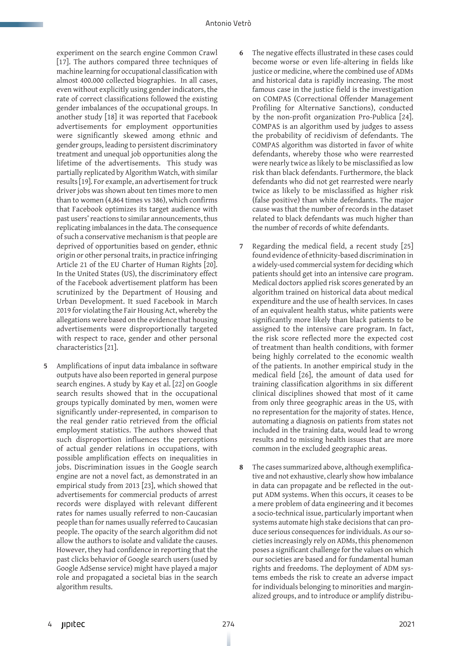experiment on the search engine Common Crawl [17]. The authors compared three techniques of machine learning for occupational classification with almost 400.000 collected biographies. In all cases, even without explicitly using gender indicators, the rate of correct classifications followed the existing gender imbalances of the occupational groups. In another study [18] it was reported that Facebook advertisements for employment opportunities were significantly skewed among ethnic and gender groups, leading to persistent discriminatory treatment and unequal job opportunities along the lifetime of the advertisements. This study was partially replicated by Algorithm Watch, with similar results [19]. For example, an advertisement for truck driver jobs was shown about ten times more to men than to women (4,864 times vs 386), which confirms that Facebook optimizes its target audience with past users' reactions to similar announcements, thus replicating imbalances in the data. The consequence of such a conservative mechanism is that people are deprived of opportunities based on gender, ethnic origin or other personal traits, in practice infringing Article 21 of the EU Charter of Human Rights [20]. In the United States (US), the discriminatory effect of the Facebook advertisement platform has been scrutinized by the Department of Housing and Urban Development. It sued Facebook in March 2019 for violating the Fair Housing Act, whereby the allegations were based on the evidence that housing advertisements were disproportionally targeted with respect to race, gender and other personal characteristics [21].

**5** Amplifications of input data imbalance in software outputs have also been reported in general purpose search engines. A study by Kay et al. [22] on Google search results showed that in the occupational groups typically dominated by men, women were significantly under-represented, in comparison to the real gender ratio retrieved from the official employment statistics. The authors showed that such disproportion influences the perceptions of actual gender relations in occupations, with possible amplification effects on inequalities in jobs. Discrimination issues in the Google search engine are not a novel fact, as demonstrated in an empirical study from 2013 [23], which showed that advertisements for commercial products of arrest records were displayed with relevant different rates for names usually referred to non-Caucasian people than for names usually referred to Caucasian people. The opacity of the search algorithm did not allow the authors to isolate and validate the causes. However, they had confidence in reporting that the past clicks behavior of Google search users (used by Google AdSense service) might have played a major role and propagated a societal bias in the search algorithm results.

- **6** The negative effects illustrated in these cases could become worse or even life-altering in fields like justice or medicine, where the combined use of ADMs and historical data is rapidly increasing. The most famous case in the justice field is the investigation on COMPAS (Correctional Offender Management Profiling for Alternative Sanctions), conducted by the non-profit organization Pro-Publica [24]. COMPAS is an algorithm used by judges to assess the probability of recidivism of defendants. The COMPAS algorithm was distorted in favor of white defendants, whereby those who were rearrested were nearly twice as likely to be misclassified as low risk than black defendants. Furthermore, the black defendants who did not get rearrested were nearly twice as likely to be misclassified as higher risk (false positive) than white defendants. The major cause was that the number of records in the dataset related to black defendants was much higher than the number of records of white defendants.
- **7** Regarding the medical field, a recent study [25] found evidence of ethnicity-based discrimination in a widely-used commercial system for deciding which patients should get into an intensive care program. Medical doctors applied risk scores generated by an algorithm trained on historical data about medical expenditure and the use of health services. In cases of an equivalent health status, white patients were significantly more likely than black patients to be assigned to the intensive care program. In fact, the risk score reflected more the expected cost of treatment than health conditions, with former being highly correlated to the economic wealth of the patients. In another empirical study in the medical field [26], the amount of data used for training classification algorithms in six different clinical disciplines showed that most of it came from only three geographic areas in the US, with no representation for the majority of states. Hence, automating a diagnosis on patients from states not included in the training data, would lead to wrong results and to missing health issues that are more common in the excluded geographic areas.
- **8** The cases summarized above, although exemplificative and not exhaustive, clearly show how imbalance in data can propagate and be reflected in the output ADM systems. When this occurs, it ceases to be a mere problem of data engineering and it becomes a socio-technical issue, particularly important when systems automate high stake decisions that can produce serious consequences for individuals. As our societies increasingly rely on ADMs, this phenomenon poses a significant challenge for the values on which our societies are based and for fundamental human rights and freedoms. The deployment of ADM systems embeds the risk to create an adverse impact for individuals belonging to minorities and marginalized groups, and to introduce or amplify distribu-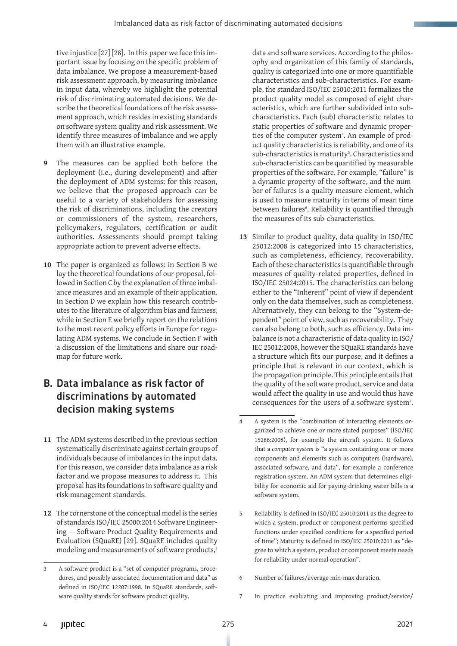tive injustice [27] [28]. In this paper we face this important issue by focusing on the specific problem of data imbalance. We propose a measurement-based risk assessment approach, by measuring imbalance in input data, whereby we highlight the potential risk of discriminating automated decisions. We describe the theoretical foundations of the risk assessment approach, which resides in existing standards on software system quality and risk assessment. We identify three measures of imbalance and we apply them with an illustrative example.

- The measures can be applied both before the deployment (i.e., during development) and after the deployment of ADM systems: for this reason, we believe that the proposed approach can be useful to a variety of stakeholders for assessing the risk of discriminations, including the creators or commissioners of the system, researchers, policymakers, regulators, certification or audit authorities. Assessments should prompt taking appropriate action to prevent adverse effects.
- **10** The paper is organized as follows: in Section B we lay the theoretical foundations of our proposal, followed in Section C by the explanation of three imbalance measures and an example of their application. In Section D we explain how this research contributes to the literature of algorithm bias and fairness, while in Section E we briefly report on the relations to the most recent policy efforts in Europe for regulating ADM systems. We conclude in Section F with a discussion of the limitations and share our roadmap for future work.

# B. Data imbalance as risk factor of discriminations by automated decision making systems

- **11** The ADM systems described in the previous section systematically discriminate against certain groups of individuals because of imbalances in the input data. For this reason, we consider data imbalance as a risk factor and we propose measures to address it. This proposal has its foundations in software quality and risk management standards.
- **12** The cornerstone of the conceptual model is the series of standards ISO/IEC 25000:2014 Software Engineering — Software Product Quality Requirements and Evaluation (SQuaRE) [29]. SQuaRE includes quality modeling and measurements of software products,<sup>3</sup>

data and software services. According to the philosophy and organization of this family of standards, quality is categorized into one or more quantifiable characteristics and sub-characteristics. For example, the standard ISO/IEC 25010:2011 formalizes the product quality model as composed of eight characteristics, which are further subdivided into subcharacteristics. Each (sub) characteristic relates to static properties of software and dynamic properties of the computer system4 . An example of product quality characteristics is reliability, and one of its sub-characteristics is maturity<sup>5</sup>. Characteristics and sub-characteristics can be quantified by measurable properties of the software. For example, "failure" is a dynamic property of the software, and the number of failures is a quality measure element, which is used to measure maturity in terms of mean time between failures§. Reliability is quantified through the measures of its sub-characteristics.

- **13** Similar to product quality, data quality in ISO/IEC 25012:2008 is categorized into 15 characteristics, such as completeness, efficiency, recoverability. Each of these characteristics is quantifiable through measures of quality-related properties, defined in ISO/IEC 25024:2015. The characteristics can belong either to the "Inherent" point of view if dependent only on the data themselves, such as completeness. Alternatively, they can belong to the "System-dependent" point of view, such as recoverability. They can also belong to both, such as efficiency. Data imbalance is not a characteristic of data quality in ISO/ IEC 25012:2008, however the SQuaRE standards have a structure which fits our purpose, and it defines a principle that is relevant in our context, which is the propagation principle. This principle entails that the quality of the software product, service and data would affect the quality in use and would thus have consequences for the users of a software system<sup>7</sup>.
- 4 A system is the "combination of interacting elements organized to achieve one or more stated purposes" (ISO/IEC 15288:2008), for example the aircraft system. It follows that a *computer system* is "a system containing one or more components and elements such as computers (hardware), associated software, and data", for example a conference registration system. An ADM system that determines eligibility for economic aid for paying drinking water bills is a software system.
- 5 Reliability is defined in ISO/IEC 25010:2011 as the degree to which a system, product or component performs specified functions under specified conditions for a specified period of time"; Maturity is defined in ISO/IEC 25010:2011 as "degree to which a system, product or component meets needs for reliability under normal operation".
- 6 Number of failures/average min-max duration.
- 7 In practice evaluating and improving product/service/

<sup>3</sup> A software product is a "set of computer programs, procedures, and possibly associated documentation and data" as defined in ISO/IEC 12207:1998. In SQuaRE standards, software quality stands for software product quality.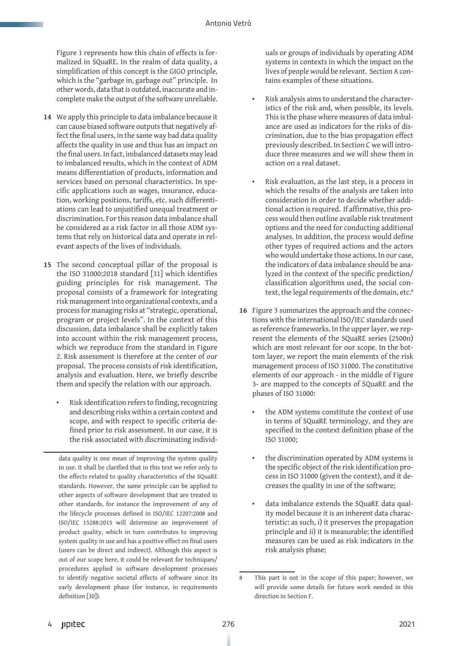Figure 1 represents how this chain of effects is formalized in SQuaRE. In the realm of data quality, a simplification of this concept is the GIGO principle, which is the "garbage in, garbage out" principle. In other words, data that is outdated, inaccurate and incomplete make the output of the software unreliable.

- **14** We apply this principle to data imbalance because it can cause biased software outputs that negatively affect the final users, in the same way bad data quality affects the quality in use and thus has an impact on the final users. In fact, imbalanced datasets may lead to imbalanced results, which in the context of ADM means differentiation of products, information and services based on personal characteristics. In specific applications such as wages, insurance, education, working positions, tariffs, etc. such differentiations can lead to unjustified unequal treatment or discrimination. For this reason data imbalance shall be considered as a risk factor in all those ADM systems that rely on historical data and operate in relevant aspects of the lives of individuals.
- **15** The second conceptual pillar of the proposal is the ISO 31000:2018 standard [31] which identifies guiding principles for risk management. The proposal consists of a framework for integrating risk management into organizational contexts, and a process for managing risks at "strategic, operational, program or project levels". In the context of this discussion, data imbalance shall be explicitly taken into account within the risk management process, which we reproduce from the standard in Figure 2. Risk assessment is therefore at the center of our proposal. The process consists of risk identification, analysis and evaluation. Here, we briefly describe them and specify the relation with our approach.
	- Risk identification refers to finding, recognizing and describing risks within a certain context and scope, and with respect to specific criteria defined prior to risk assessment. In our case, it is the risk associated with discriminating individ-

data quality is one mean of improving the system quality in use. It shall be clarified that in this text we refer only to the effects related to quality characteristics of the SQuaRE standards. However, the same principle can be applied to other aspects of software development that are treated in other standards, for instance the improvement of any of the lifecycle processes defined in ISO/IEC 12207:2008 and ISO/IEC 15288:2015 will determine an improvement of product quality, which in turn contributes to improving system quality in use and has a positive effect on final users (users can be direct and indirect). Although this aspect is out of our scope here, it could be relevant for techniques/ procedures applied in software development processes to identify negative societal effects of software since its early development phase (for instance, in requirements definition [30]).

uals or groups of individuals by operating ADM systems in contexts in which the impact on the lives of people would be relevant. Section A contains examples of these situations.

- Risk analysis aims to understand the characteristics of the risk and, when possible, its levels. This is the phase where measures of data imbalance are used as indicators for the risks of discrimination, due to the bias propagation effect previously described. In Section C we will introduce three measures and we will show them in action on a real dataset.
- Risk evaluation, as the last step, is a process in which the results of the analysis are taken into consideration in order to decide whether additional action is required. If affirmative, this process would then outline available risk treatment options and the need for conducting additional analyses. In addition, the process would define other types of required actions and the actors who would undertake those actions. In our case, the indicators of data imbalance should be analyzed in the context of the specific prediction/ classification algorithms used, the social context, the legal requirements of the domain, etc.<sup>8</sup>
- **16** Figure 3 summarizes the approach and the connections with the international ISO/IEC standards used as reference frameworks. In the upper layer, we represent the elements of the SQuaRE series (2500n) which are most relevant for our scope. In the bottom layer, we report the main elements of the risk management process of ISO 31000. The constitutive elements of our approach - in the middle of Figure 3- are mapped to the concepts of SQuaRE and the phases of ISO 31000:
	- the ADM systems constitute the context of use in terms of SQuaRE terminology, and they are specified in the context definition phase of the ISO 31000;
	- the discrimination operated by ADM systems is the specific object of the risk identification process in ISO 31000 (given the context), and it decreases the quality in use of the software;
	- data imbalance extends the SQuaRE data quality model because it is an inherent data characteristic: as such, i) it preserves the propagation principle and ii) it is measurable; the identified measures can be used as risk indicators in the risk analysis phase;

<sup>8</sup> This part is not in the scope of this paper; however, we will provide some details for future work needed in this direction in Section F.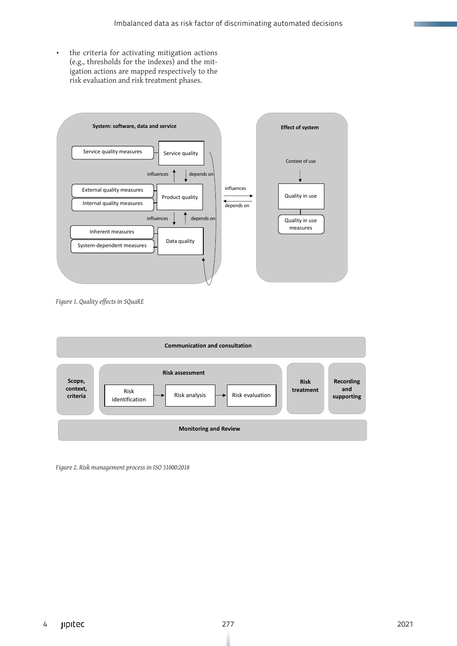• the criteria for activating mitigation actions (e.g., thresholds for the indexes) and the mitigation actions are mapped respectively to the risk evaluation and risk treatment phases.



*Figure 1. Quality effects in SQuaRE*



*Figure 2. Risk management process in ISO 31000:2018*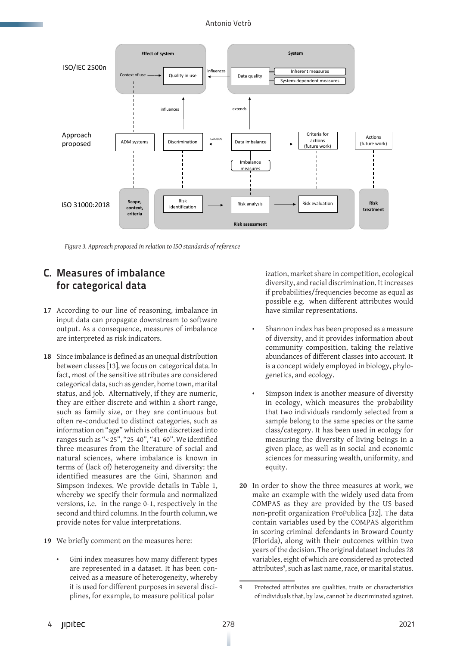### Antonio Vetrò



*Figure 3. Approach proposed in relation to ISO standards of reference*

# C. Measures of imbalance for categorical data

- **17** According to our line of reasoning, imbalance in input data can propagate downstream to software output. As a consequence, measures of imbalance are interpreted as risk indicators.
- **18** Since imbalance is defined as an unequal distribution between classes [13], we focus on categorical data. In fact, most of the sensitive attributes are considered categorical data, such as gender, home town, marital status, and job. Alternatively, if they are numeric, they are either discrete and within a short range, such as family size, or they are continuous but often re-conducted to distinct categories, such as information on "age" which is often discretized into ranges such as "< 25", "25-40", "41-60". We identified three measures from the literature of social and natural sciences, where imbalance is known in terms of (lack of) heterogeneity and diversity: the identified measures are the Gini, Shannon and Simpson indexes. We provide details in Table 1, whereby we specify their formula and normalized versions, i.e. in the range 0-1, respectively in the second and third columns. In the fourth column, we provide notes for value interpretations.
- **19** We briefly comment on the measures here:
	- Gini index measures how many different types are represented in a dataset. It has been conceived as a measure of heterogeneity, whereby it is used for different purposes in several disciplines, for example, to measure political polar

ization, market share in competition, ecological diversity, and racial discrimination. It increases if probabilities/frequencies become as equal as possible e.g. when different attributes would have similar representations.

- Shannon index has been proposed as a measure of diversity, and it provides information about community composition, taking the relative abundances of different classes into account. It is a concept widely employed in biology, phylogenetics, and ecology.
- Simpson index is another measure of diversity in ecology, which measures the probability that two individuals randomly selected from a sample belong to the same species or the same class/category. It has been used in ecology for measuring the diversity of living beings in a given place, as well as in social and economic sciences for measuring wealth, uniformity, and equity.
- **20** In order to show the three measures at work, we make an example with the widely used data from COMPAS as they are provided by the US based non-profit organization ProPublica [32]. The data contain variables used by the COMPAS algorithm in scoring criminal defendants in Broward County (Florida), along with their outcomes within two years of the decision. The original dataset includes 28 variables, eight of which are considered as protected attributes<sup>9</sup>, such as last name, race, or marital status.

<sup>9</sup> Protected attributes are qualities, traits or characteristics of individuals that, by law, cannot be discriminated against.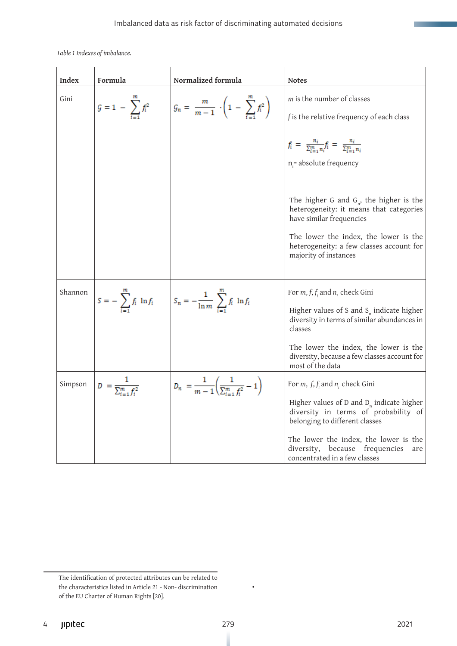*Table 1 Indexes of imbalance.* 

| Index   | Formula                              | Normalized formula                                                                    | <b>Notes</b>                                                                                                                                                                                                                                                                            |
|---------|--------------------------------------|---------------------------------------------------------------------------------------|-----------------------------------------------------------------------------------------------------------------------------------------------------------------------------------------------------------------------------------------------------------------------------------------|
| Gini    | $G = 1 - \sum_{i=1}^{n} f_i^2$       | $G_n = \frac{m}{m-1} \cdot \left(1 - \sum_{i=1}^{m} f_i^2\right)$                     | m is the number of classes<br>f is the relative frequency of each class                                                                                                                                                                                                                 |
|         |                                      |                                                                                       | $f_i = \frac{n_i}{\sum_{i=1}^m n_i} f_i = \frac{n_i}{\sum_{i=1}^m n_i}$<br>$n =$ absolute frequency                                                                                                                                                                                     |
|         |                                      |                                                                                       | The higher G and $G_n$ , the higher is the<br>heterogeneity: it means that categories<br>have similar frequencies<br>The lower the index, the lower is the<br>heterogeneity: a few classes account for<br>majority of instances                                                         |
| Shannon |                                      | $S = -\sum_{i=1}^{m} f_i \ln f_i$ $S_n = -\frac{1}{\ln m} \sum_{i=1}^{m} f_i \ln f_i$ | For $m, f, f$ and $n_i$ check Gini<br>Higher values of S and $S_n$ indicate higher<br>diversity in terms of similar abundances in<br>classes<br>The lower the index, the lower is the<br>diversity, because a few classes account for<br>most of the data                               |
| Simpson | $D = \frac{1}{\sum_{i=1}^{m} f_i^2}$ | $D_n = \frac{1}{m-1} \left( \frac{1}{\sum_{i=1}^m f_i^2} - 1 \right)$                 | For <i>m</i> , $f, f$ and $n$ check Gini<br>Higher values of $D$ and $D_n$ indicate higher<br>diversity in terms of probability of<br>belonging to different classes<br>The lower the index, the lower is the<br>diversity, because frequencies<br>are<br>concentrated in a few classes |

•

The identification of protected attributes can be related to the characteristics listed in Article 21 - Non- discrimination of the EU Charter of Human Rights [20].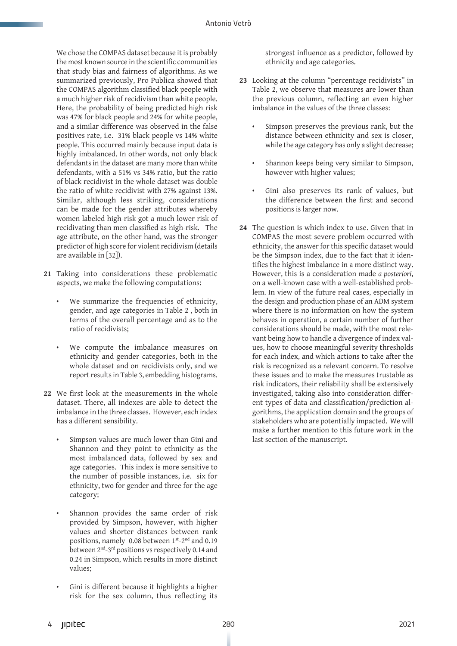We chose the COMPAS dataset because it is probably the most known source in the scientific communities that study bias and fairness of algorithms. As we summarized previously, Pro Publica showed that the COMPAS algorithm classified black people with a much higher risk of recidivism than white people. Here, the probability of being predicted high risk was 47% for black people and 24% for white people, and a similar difference was observed in the false positives rate, i.e. 31% black people vs 14% white people. This occurred mainly because input data is highly imbalanced. In other words, not only black defendants in the dataset are many more than white defendants, with a 51% vs 34% ratio, but the ratio of black recidivist in the whole dataset was double the ratio of white recidivist with 27% against 13%. Similar, although less striking, considerations can be made for the gender attributes whereby women labeled high-risk got a much lower risk of recidivating than men classified as high-risk. The age attribute, on the other hand, was the stronger predictor of high score for violent recidivism (details are available in [32]).

- **21** Taking into considerations these problematic aspects, we make the following computations:
	- We summarize the frequencies of ethnicity, gender, and age categories in Table 2 , both in terms of the overall percentage and as to the ratio of recidivists;
	- We compute the imbalance measures on ethnicity and gender categories, both in the whole dataset and on recidivists only, and we report results in Table 3, embedding histograms.
- **22** We first look at the measurements in the whole dataset. There, all indexes are able to detect the imbalance in the three classes. However, each index has a different sensibility.
	- Simpson values are much lower than Gini and Shannon and they point to ethnicity as the most imbalanced data, followed by sex and age categories. This index is more sensitive to the number of possible instances, i.e. six for ethnicity, two for gender and three for the age category;
	- Shannon provides the same order of risk provided by Simpson, however, with higher values and shorter distances between rank positions, namely 0.08 between 1st-2nd and 0.19 between 2<sup>nd</sup>-3<sup>rd</sup> positions vs respectively 0.14 and 0.24 in Simpson, which results in more distinct values;
	- Gini is different because it highlights a higher risk for the sex column, thus reflecting its

strongest influence as a predictor, followed by ethnicity and age categories.

- **23** Looking at the column "percentage recidivists" in Table 2, we observe that measures are lower than the previous column, reflecting an even higher imbalance in the values of the three classes:
	- Simpson preserves the previous rank, but the distance between ethnicity and sex is closer, while the age category has only a slight decrease;
	- Shannon keeps being very similar to Simpson, however with higher values;
	- Gini also preserves its rank of values, but the difference between the first and second positions is larger now.
- **24** The question is which index to use. Given that in COMPAS the most severe problem occurred with ethnicity, the answer for this specific dataset would be the Simpson index, due to the fact that it identifies the highest imbalance in a more distinct way. However, this is a consideration made *a posteriori*, on a well-known case with a well-established problem. In view of the future real cases, especially in the design and production phase of an ADM system where there is no information on how the system behaves in operation, a certain number of further considerations should be made, with the most relevant being how to handle a divergence of index values, how to choose meaningful severity thresholds for each index, and which actions to take after the risk is recognized as a relevant concern. To resolve these issues and to make the measures trustable as risk indicators, their reliability shall be extensively investigated, taking also into consideration different types of data and classification/prediction algorithms, the application domain and the groups of stakeholders who are potentially impacted. We will make a further mention to this future work in the last section of the manuscript.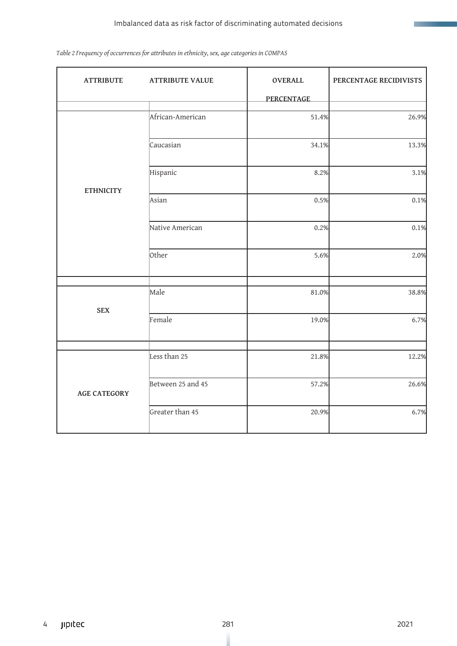### Imbalanced data as risk factor of discriminating automated decisions

| <b>ATTRIBUTE</b>    | <b>ATTRIBUTE VALUE</b> | <b>OVERALL</b><br><b>PERCENTAGE</b> | PERCENTAGE RECIDIVISTS |
|---------------------|------------------------|-------------------------------------|------------------------|
|                     | African-American       | 51.4%                               | 26.9%                  |
|                     | Caucasian              | 34.1%                               | 13.3%                  |
|                     | Hispanic               | 8.2%                                | 3.1%                   |
| <b>ETHNICITY</b>    | Asian                  | 0.5%                                | 0.1%                   |
|                     | Native American        | 0.2%                                | 0.1%                   |
|                     | <b>Other</b>           | 5.6%                                | 2.0%                   |
|                     | Male                   | 81.0%                               | 38.8%                  |
| <b>SEX</b>          | Female                 | 19.0%                               | 6.7%                   |
|                     |                        |                                     |                        |
|                     | Less than 25           | 21.8%                               | 12.2%                  |
| <b>AGE CATEGORY</b> | Between 25 and 45      | 57.2%                               | 26.6%                  |
|                     | Greater than 45        | 20.9%                               | 6.7%                   |

### *Table 2 Frequency of occurrences for attributes in ethnicity, sex, age categories in COMPAS*

**The Marian College**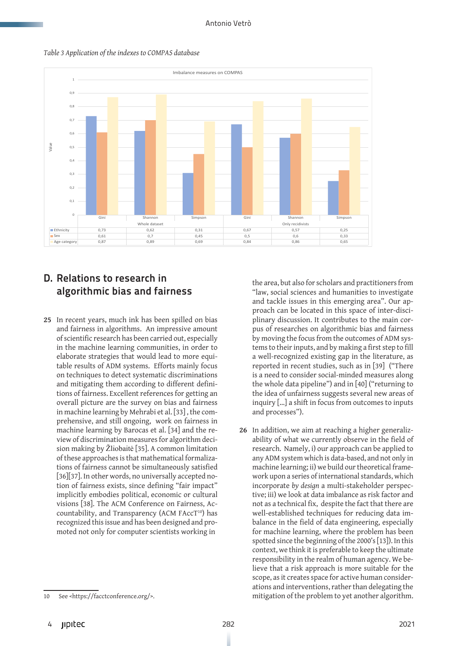

### *Table 3 Application of the indexes to COMPAS database*

## D. Relations to research in algorithmic bias and fairness

**25** In recent years, much ink has been spilled on bias and fairness in algorithms. An impressive amount of scientific research has been carried out, especially in the machine learning communities, in order to elaborate strategies that would lead to more equitable results of ADM systems. Efforts mainly focus on techniques to detect systematic discriminations and mitigating them according to different definitions of fairness. Excellent references for getting an overall picture are the survey on bias and fairness in machine learning by Mehrabi et al. [33] , the comprehensive, and still ongoing, work on fairness in machine learning by Barocas et al. [34] and the review of discrimination measures for algorithm decision making by Žliobaitė [35]. A common limitation of these approaches is that mathematical formalizations of fairness cannot be simultaneously satisfied [36][37]. In other words, no universally accepted notion of fairness exists, since defining "fair impact" implicitly embodies political, economic or cultural visions [38]. The ACM Conference on Fairness, Accountability, and Transparency (ACM FAccT<sup>10</sup>) has recognized this issue and has been designed and promoted not only for computer scientists working in

the area, but also for scholars and practitioners from "law, social sciences and humanities to investigate and tackle issues in this emerging area". Our approach can be located in this space of inter-disciplinary discussion. It contributes to the main corpus of researches on algorithmic bias and fairness by moving the focus from the outcomes of ADM systems to their inputs, and by making a first step to fill a well-recognized existing gap in the literature, as reported in recent studies, such as in [39] ("There is a need to consider social-minded measures along the whole data pipeline") and in [40] ("returning to the idea of unfairness suggests several new areas of inquiry […] a shift in focus from outcomes to inputs and processes").

**26** In addition, we aim at reaching a higher generalizability of what we currently observe in the field of research. Namely, i) our approach can be applied to any ADM system which is data-based, and not only in machine learning; ii) we build our theoretical framework upon a series of international standards, which incorporate *by design* a multi-stakeholder perspective; iii) we look at data imbalance as risk factor and not as a technical fix, despite the fact that there are well-established techniques for reducing data imbalance in the field of data engineering, especially for machine learning, where the problem has been spotted since the beginning of the 2000's [13]). In this context, we think it is preferable to keep the ultimate responsibility in the realm of human agency. We believe that a risk approach is more suitable for the scope, as it creates space for active human considerations and interventions, rather than delegating the mitigation of the problem to yet another algorithm.

<sup>10</sup> See <<https://facctconference.org/>>.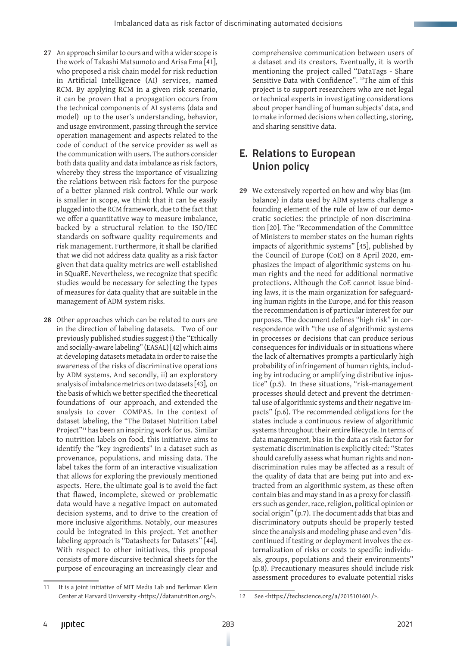- **27** An approach similar to ours and with a wider scope is the work of Takashi Matsumoto and Arisa Ema [41], who proposed a risk chain model for risk reduction in Artificial Intelligence (AI) services, named RCM. By applying RCM in a given risk scenario, it can be proven that a propagation occurs from the technical components of AI systems (data and model) up to the user's understanding, behavior, and usage environment, passing through the service operation management and aspects related to the code of conduct of the service provider as well as the communication with users. The authors consider both data quality and data imbalance as risk factors, whereby they stress the importance of visualizing the relations between risk factors for the purpose of a better planned risk control. While our work is smaller in scope, we think that it can be easily plugged into the RCM framework, due to the fact that we offer a quantitative way to measure imbalance, backed by a structural relation to the ISO/IEC standards on software quality requirements and risk management. Furthermore, it shall be clarified that we did not address data quality as a risk factor given that data quality metrics are well-established in SQuaRE. Nevertheless, we recognize that specific studies would be necessary for selecting the types of measures for data quality that are suitable in the management of ADM system risks.
- **28** Other approaches which can be related to ours are in the direction of labeling datasets. Two of our previously published studies suggest i) the "Ethically and socially-aware labeling" (EASAL) [42] which aims at developing datasets metadata in order to raise the awareness of the risks of discriminative operations by ADM systems. And secondly, ii) an exploratory analysis of imbalance metrics on two datasets [43], on the basis of which we better specified the theoretical foundations of our approach, and extended the analysis to cover COMPAS. In the context of dataset labeling, the "The Dataset Nutrition Label Project"11 has been an inspiring work for us. Similar to nutrition labels on food, this initiative aims to identify the "key ingredients" in a dataset such as provenance, populations, and missing data. The label takes the form of an interactive visualization that allows for exploring the previously mentioned aspects. Here, the ultimate goal is to avoid the fact that flawed, incomplete, skewed or problematic data would have a negative impact on automated decision systems, and to drive to the creation of more inclusive algorithms. Notably, our measures could be integrated in this project. Yet another labeling approach is "Datasheets for Datasets" [44]. With respect to other initiatives, this proposal consists of more discursive technical sheets for the purpose of encouraging an increasingly clear and

comprehensive communication between users of a dataset and its creators. Eventually, it is worth mentioning the project called "DataTags - Share Sensitive Data with Confidence". 12The aim of this project is to support researchers who are not legal or technical experts in investigating considerations about proper handling of human subjects' data, and to make informed decisions when collecting, storing, and sharing sensitive data.

# E. Relations to European Union policy

**29** We extensively reported on how and why bias (imbalance) in data used by ADM systems challenge a founding element of the rule of law of our democratic societies: the principle of non-discrimination [20]. The "Recommendation of the Committee of Ministers to member states on the human rights impacts of algorithmic systems" [45], published by the Council of Europe (CoE) on 8 April 2020, emphasizes the impact of algorithmic systems on human rights and the need for additional normative protections. Although the CoE cannot issue binding laws, it is the main organization for safeguarding human rights in the Europe, and for this reason the recommendation is of particular interest for our purposes. The document defines "high risk" in correspondence with "the use of algorithmic systems in processes or decisions that can produce serious consequences for individuals or in situations where the lack of alternatives prompts a particularly high probability of infringement of human rights, including by introducing or amplifying distributive injustice" (p.5). In these situations, "risk-management processes should detect and prevent the detrimental use of algorithmic systems and their negative impacts" (p.6). The recommended obligations for the states include a continuous review of algorithmic systems throughout their entire lifecycle. In terms of data management, bias in the data as risk factor for systematic discrimination is explicitly cited: "States should carefully assess what human rights and nondiscrimination rules may be affected as a result of the quality of data that are being put into and extracted from an algorithmic system, as these often contain bias and may stand in as a proxy for classifiers such as gender, race, religion, political opinion or social origin" (p.7). The document adds that bias and discriminatory outputs should be properly tested since the analysis and modeling phase and even "discontinued if testing or deployment involves the externalization of risks or costs to specific individuals, groups, populations and their environments" (p.8). Precautionary measures should include risk assessment procedures to evaluate potential risks

<sup>11</sup> It is a joint initiative of MIT Media Lab and Berkman Klein Center at Harvard University <<https://datanutrition.org/>>.

<sup>12</sup> See <<https://techscience.org/a/2015101601/>>.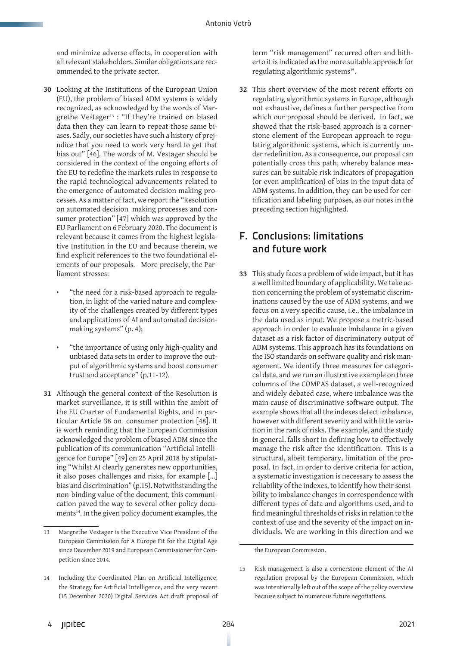and minimize adverse effects, in cooperation with all relevant stakeholders. Similar obligations are recommended to the private sector.

- **30** Looking at the Institutions of the European Union (EU), the problem of biased ADM systems is widely recognized, as acknowledged by the words of Margrethe Vestager<sup>13</sup> : "If they're trained on biased data then they can learn to repeat those same biases. Sadly, our societies have such a history of prejudice that you need to work very hard to get that bias out" [46]. The words of M. Vestager should be considered in the context of the ongoing efforts of the EU to redefine the markets rules in response to the rapid technological advancements related to the emergence of automated decision making processes. As a matter of fact, we report the "Resolution on automated decision making processes and consumer protection" [47] which was approved by the EU Parliament on 6 February 2020. The document is relevant because it comes from the highest legislative Institution in the EU and because therein, we find explicit references to the two foundational elements of our proposals. More precisely, the Parliament stresses:
	- "the need for a risk-based approach to regulation, in light of the varied nature and complexity of the challenges created by different types and applications of AI and automated decisionmaking systems" (p. 4);
	- "the importance of using only high-quality and unbiased data sets in order to improve the output of algorithmic systems and boost consumer trust and acceptance" (p.11-12).
- **31** Although the general context of the Resolution is market surveillance, it is still within the ambit of the EU Charter of Fundamental Rights, and in particular Article 38 on consumer protection [48]. It is worth reminding that the European Commission acknowledged the problem of biased ADM since the publication of its communication "Artificial Intelligence for Europe" [49] on 25 April 2018 by stipulating "Whilst AI clearly generates new opportunities, it also poses challenges and risks, for example […] bias and discrimination" (p.15). Notwithstanding the non-binding value of the document, this communication paved the way to several other policy documents<sup>14</sup>. In the given policy document examples, the

term "risk management" recurred often and hitherto it is indicated as the more suitable approach for regulating algorithmic systems<sup>15</sup>.

**32** This short overview of the most recent efforts on regulating algorithmic systems in Europe, although not exhaustive, defines a further perspective from which our proposal should be derived. In fact, we showed that the risk-based approach is a cornerstone element of the European approach to regulating algorithmic systems, which is currently under redefinition. As a consequence, our proposal can potentially cross this path, whereby balance measures can be suitable risk indicators of propagation (or even amplification) of bias in the input data of ADM systems. In addition, they can be used for certification and labeling purposes, as our notes in the preceding section highlighted.

# F. Conclusions: limitations and future work

**33** This study faces a problem of wide impact, but it has a well limited boundary of applicability. We take action concerning the problem of systematic discriminations caused by the use of ADM systems, and we focus on a very specific cause, i.e., the imbalance in the data used as input. We propose a metric-based approach in order to evaluate imbalance in a given dataset as a risk factor of discriminatory output of ADM systems. This approach has its foundations on the ISO standards on software quality and risk management. We identify three measures for categorical data, and we run an illustrative example on three columns of the COMPAS dataset, a well-recognized and widely debated case, where imbalance was the main cause of discriminative software output. The example shows that all the indexes detect imbalance, however with different severity and with little variation in the rank of risks. The example, and the study in general, falls short in defining how to effectively manage the risk after the identification. This is a structural, albeit temporary, limitation of the proposal. In fact, in order to derive criteria for action, a systematic investigation is necessary to assess the reliability of the indexes, to identify how their sensibility to imbalance changes in correspondence with different types of data and algorithms used, and to find meaningful thresholds of risks in relation to the context of use and the severity of the impact on individuals. We are working in this direction and we

the European Commission.

<sup>13</sup> Margrethe Vestager is the Executive Vice President of the European Commission for A Europe Fit for the Digital Age since December 2019 and European Commissioner for Competition since 2014.

<sup>14</sup> Including the Coordinated Plan on Artificial Intelligence, the Strategy for Artificial Intelligence, and the very recent (15 December 2020) Digital Services Act draft proposal of

<sup>15</sup> Risk management is also a cornerstone element of the AI regulation proposal by the European Commission, which was intentionally left out of the scope of the policy overview because subject to numerous future negotiations.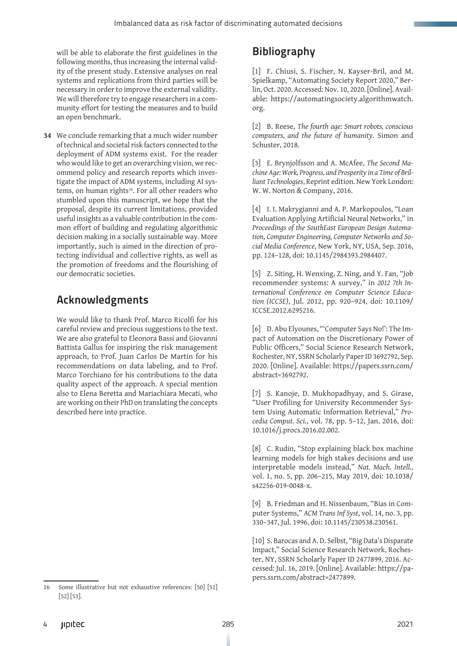will be able to elaborate the first guidelines in the following months, thus increasing the internal validity of the present study. Extensive analyses on real systems and replications from third parties will be necessary in order to improve the external validity. We will therefore try to engage researchers in a community effort for testing the measures and to build an open benchmark.

**34** We conclude remarking that a much wider number of technical and societal risk factors connected to the deployment of ADM systems exist. For the reader who would like to get an overarching vision, we recommend policy and research reports which investigate the impact of ADM systems, including AI systems, on human rights<sup>16</sup>. For all other readers who stumbled upon this manuscript, we hope that the proposal, despite its current limitations, provided useful insights as a valuable contribution in the common effort of building and regulating algorithmic decision making in a socially sustainable way. More importantly, such is aimed in the direction of protecting individual and collective rights, as well as the promotion of freedoms and the flourishing of our democratic societies.

# Acknowledgments

We would like to thank Prof. Marco Ricolfi for his careful review and precious suggestions to the text. We are also grateful to Eleonora Bassi and Giovanni Battista Gallus for inspiring the risk management approach, to Prof. Juan Carlos De Martin for his recommendations on data labeling, and to Prof. Marco Torchiano for his contributions to the data quality aspect of the approach. A special mention also to Elena Beretta and Mariachiara Mecati, who are working on their PhD on translating the concepts described here into practice.

# Bibliography

[1] F. Chiusi, S. Fischer, N. Kayser-Bril, and M. Spielkamp, "Automating Society Report 2020," Berlin, Oct. 2020. Accessed: Nov. 10, 2020. [Online]. Available: https://automatingsociety.algorithmwatch. org.

[2] B. Reese, *The fourth age: Smart robots, conscious computers, and the future of humanity*. Simon and Schuster, 2018.

[3] E. Brynjolfsson and A. McAfee, *The Second Machine Age: Work, Progress, and Prosperity in a Time of Brilliant Technologies*, Reprint edition. New York London: W. W. Norton & Company, 2016.

[4] I. I. Makrygianni and A. P. Markopoulos, "Loan Evaluation Applying Artificial Neural Networks," in *Proceedings of the SouthEast European Design Automation, Computer Engineering, Computer Networks and Social Media Conference*, New York, NY, USA, Sep. 2016, pp. 124–128, doi: 10.1145/2984393.2984407.

[5] Z. Siting, H. Wenxing, Z. Ning, and Y. Fan, "Job recommender systems: A survey," in *2012 7th International Conference on Computer Science Education (ICCSE)*, Jul. 2012, pp. 920–924, doi: 10.1109/ ICCSE.2012.6295216.

[6] D. Abu Elyounes, "'Computer Says No!': The Impact of Automation on the Discretionary Power of Public Officers," Social Science Research Network, Rochester, NY, SSRN Scholarly Paper ID 3692792, Sep. 2020. [Online]. Available: https://papers.ssrn.com/ abstract=3692792.

[7] S. Kanoje, D. Mukhopadhyay, and S. Girase, "User Profiling for University Recommender System Using Automatic Information Retrieval," *Procedia Comput. Sci.*, vol. 78, pp. 5–12, Jan. 2016, doi: 10.1016/j.procs.2016.02.002.

[8] C. Rudin, "Stop explaining black box machine learning models for high stakes decisions and use interpretable models instead," *Nat. Mach. Intell.*, vol. 1, no. 5, pp. 206–215, May 2019, doi: 10.1038/ s42256-019-0048-x.

[9] B. Friedman and H. Nissenbaum, "Bias in Computer Systems," *ACM Trans Inf Syst*, vol. 14, no. 3, pp. 330–347, Jul. 1996, doi: 10.1145/230538.230561.

[10] S. Barocas and A. D. Selbst, "Big Data's Disparate Impact," Social Science Research Network, Rochester, NY, SSRN Scholarly Paper ID 2477899, 2016. Accessed: Jul. 16, 2019. [Online]. Available: https://papers.ssrn.com/abstract=2477899.

<sup>16</sup> Some illustrative but not exhaustive references: [50] [51] [52] [53].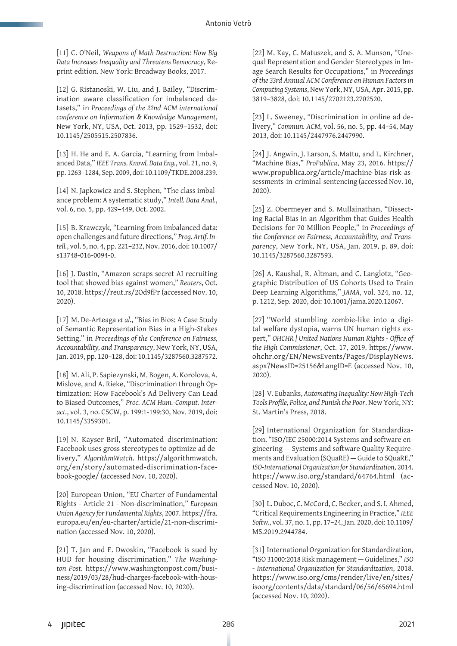[11] C. O'Neil, *Weapons of Math Destruction: How Big Data Increases Inequality and Threatens Democracy*, Reprint edition. New York: Broadway Books, 2017.

[12] G. Ristanoski, W. Liu, and J. Bailey, "Discrimination aware classification for imbalanced datasets," in *Proceedings of the 22nd ACM international conference on Information & Knowledge Management*, New York, NY, USA, Oct. 2013, pp. 1529–1532, doi: 10.1145/2505515.2507836.

[13] H. He and E. A. Garcia, "Learning from Imbalanced Data," *IEEE Trans. Knowl. Data Eng.*, vol. 21, no. 9, pp. 1263–1284, Sep. 2009, doi: 10.1109/TKDE.2008.239.

[14] N. Japkowicz and S. Stephen, "The class imbalance problem: A systematic study," *Intell. Data Anal.*, vol. 6, no. 5, pp. 429–449, Oct. 2002.

[15] B. Krawczyk, "Learning from imbalanced data: open challenges and future directions," *Prog. Artif. Intell.*, vol. 5, no. 4, pp. 221–232, Nov. 2016, doi: 10.1007/ s13748-016-0094-0.

[16] J. Dastin, "Amazon scraps secret AI recruiting tool that showed bias against women," *Reuters*, Oct. 10, 2018. https://reut.rs/2Od9fPr (accessed Nov. 10, 2020).

[17] M. De-Arteaga *et al.*, "Bias in Bios: A Case Study of Semantic Representation Bias in a High-Stakes Setting," in *Proceedings of the Conference on Fairness, Accountability, and Transparency*, New York, NY, USA, Jan. 2019, pp. 120–128, doi: 10.1145/3287560.3287572.

[18] M. Ali, P. Sapiezynski, M. Bogen, A. Korolova, A. Mislove, and A. Rieke, "Discrimination through Optimization: How Facebook's Ad Delivery Can Lead to Biased Outcomes," *Proc. ACM Hum.-Comput. Interact.*, vol. 3, no. CSCW, p. 199:1-199:30, Nov. 2019, doi: 10.1145/3359301.

[19] N. Kayser-Bril, "Automated discrimination: Facebook uses gross stereotypes to optimize ad delivery," *AlgorithmWatch*. https://algorithmwatch. org/en/story/automated-discrimination-facebook-google/ (accessed Nov. 10, 2020).

[20] European Union, "EU Charter of Fundamental Rights - Article 21 - Non-discrimination," *European Union Agency for Fundamental Rights*, 2007. https://fra. europa.eu/en/eu-charter/article/21-non-discrimination (accessed Nov. 10, 2020).

[21] T. Jan and E. Dwoskin, "Facebook is sued by HUD for housing discrimination," *The Washington Post*. https://www.washingtonpost.com/business/2019/03/28/hud-charges-facebook-with-housing-discrimination (accessed Nov. 10, 2020).

[22] M. Kay, C. Matuszek, and S. A. Munson, "Unequal Representation and Gender Stereotypes in Image Search Results for Occupations," in *Proceedings of the 33rd Annual ACM Conference on Human Factors in Computing Systems*, New York, NY, USA, Apr. 2015, pp. 3819–3828, doi: 10.1145/2702123.2702520.

[23] L. Sweeney, "Discrimination in online ad delivery," *Commun. ACM*, vol. 56, no. 5, pp. 44–54, May 2013, doi: 10.1145/2447976.2447990.

[24] J. Angwin, J. Larson, S. Mattu, and L. Kirchner, "Machine Bias," *ProPublica*, May 23, 2016. https:// www.propublica.org/article/machine-bias-risk-assessments-in-criminal-sentencing (accessed Nov. 10, 2020).

[25] Z. Obermeyer and S. Mullainathan, "Dissecting Racial Bias in an Algorithm that Guides Health Decisions for 70 Million People," in *Proceedings of the Conference on Fairness, Accountability, and Transparency*, New York, NY, USA, Jan. 2019, p. 89, doi: 10.1145/3287560.3287593.

[26] A. Kaushal, R. Altman, and C. Langlotz, "Geographic Distribution of US Cohorts Used to Train Deep Learning Algorithms," *JAMA*, vol. 324, no. 12, p. 1212, Sep. 2020, doi: 10.1001/jama.2020.12067.

[27] "World stumbling zombie-like into a digital welfare dystopia, warns UN human rights expert," *OHCHR | United Nations Human Rights - Office of the High Commissioner*, Oct. 17, 2019. https://www. ohchr.org/EN/NewsEvents/Pages/DisplayNews. aspx?NewsID=25156&LangID=E (accessed Nov. 10, 2020).

[28] V. Eubanks, *Automating Inequality: How High-Tech Tools Profile, Police, and Punish the Poor*. New York, NY: St. Martin's Press, 2018.

[29] International Organization for Standardization, "ISO/IEC 25000:2014 Systems and software engineering — Systems and software Quality Requirements and Evaluation (SQuaRE) — Guide to SQuaRE," *ISO-International Organization for Standardization*, 2014. https://www.iso.org/standard/64764.html (accessed Nov. 10, 2020).

[30] L. Duboc, C. McCord, C. Becker, and S. I. Ahmed, "Critical Requirements Engineering in Practice," *IEEE Softw.*, vol. 37, no. 1, pp. 17–24, Jan. 2020, doi: 10.1109/ MS.2019.2944784.

[31] International Organization for Standardization, "ISO 31000:2018 Risk management — Guidelines," *ISO - International Organization for Standardization*, 2018. https://www.iso.org/cms/render/live/en/sites/ isoorg/contents/data/standard/06/56/65694.html (accessed Nov. 10, 2020).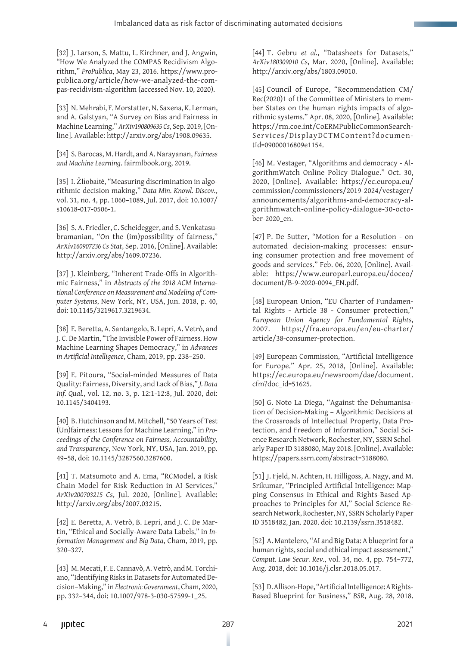[32] J. Larson, S. Mattu, L. Kirchner, and J. Angwin, "How We Analyzed the COMPAS Recidivism Algorithm," *ProPublica*, May 23, 2016. https://www.propublica.org/article/how-we-analyzed-the-compas-recidivism-algorithm (accessed Nov. 10, 2020).

[33] N. Mehrabi, F. Morstatter, N. Saxena, K. Lerman, and A. Galstyan, "A Survey on Bias and Fairness in Machine Learning," *ArXiv190809635 Cs*, Sep. 2019, [Online]. Available: http://arxiv.org/abs/1908.09635.

[34] S. Barocas, M. Hardt, and A. Narayanan, *Fairness and Machine Learning*. fairmlbook.org, 2019.

[35] I. Žliobaitė, "Measuring discrimination in algorithmic decision making," *Data Min. Knowl. Discov.*, vol. 31, no. 4, pp. 1060–1089, Jul. 2017, doi: 10.1007/ s10618-017-0506-1.

[36] S. A. Friedler, C. Scheidegger, and S. Venkatasubramanian, "On the (im)possibility of fairness," *ArXiv160907236 Cs Stat*, Sep. 2016, [Online]. Available: http://arxiv.org/abs/1609.07236.

[37] J. Kleinberg, "Inherent Trade-Offs in Algorithmic Fairness," in *Abstracts of the 2018 ACM International Conference on Measurement and Modeling of Computer Systems*, New York, NY, USA, Jun. 2018, p. 40, doi: 10.1145/3219617.3219634.

[38] E. Beretta, A. Santangelo, B. Lepri, A. Vetrò, and J. C. De Martin, "The Invisible Power of Fairness. How Machine Learning Shapes Democracy," in *Advances in Artificial Intelligence*, Cham, 2019, pp. 238–250.

[39] E. Pitoura, "Social-minded Measures of Data Quality: Fairness, Diversity, and Lack of Bias," *J. Data Inf. Qual.*, vol. 12, no. 3, p. 12:1-12:8, Jul. 2020, doi: 10.1145/3404193.

[40] B. Hutchinson and M. Mitchell, "50 Years of Test (Un)fairness: Lessons for Machine Learning," in *Proceedings of the Conference on Fairness, Accountability, and Transparency*, New York, NY, USA, Jan. 2019, pp. 49–58, doi: 10.1145/3287560.3287600.

[41] T. Matsumoto and A. Ema, "RCModel, a Risk Chain Model for Risk Reduction in AI Services," *ArXiv200703215 Cs*, Jul. 2020, [Online]. Available: http://arxiv.org/abs/2007.03215.

[42] E. Beretta, A. Vetrò, B. Lepri, and J. C. De Martin, "Ethical and Socially-Aware Data Labels," in *Information Management and Big Data*, Cham, 2019, pp. 320–327.

[43] M. Mecati, F. E. Cannavò, A. Vetrò, and M. Torchiano, "Identifying Risks in Datasets for Automated Decision–Making," in *Electronic Government*, Cham, 2020, pp. 332–344, doi: 10.1007/978-3-030-57599-1\_25.

[44] T. Gebru *et al.*, "Datasheets for Datasets," *ArXiv180309010 Cs*, Mar. 2020, [Online]. Available: http://arxiv.org/abs/1803.09010.

[45] Council of Europe, "Recommendation CM/ Rec(2020)1 of the Committee of Ministers to member States on the human rights impacts of algorithmic systems." Apr. 08, 2020, [Online]. Available: https://rm.coe.int/CoERMPublicCommonSearch-Services/DisplayDCTMContent?documentId=09000016809e1154.

[46] M. Vestager, "Algorithms and democracy - AlgorithmWatch Online Policy Dialogue." Oct. 30, 2020, [Online]. Available: https://ec.europa.eu/ commission/commissioners/2019-2024/vestager/ announcements/algorithms-and-democracy-algorithmwatch-online-policy-dialogue-30-october-2020\_en.

[47] P. De Sutter, "Motion for a Resolution - on automated decision-making processes: ensuring consumer protection and free movement of goods and services." Feb. 06, 2020, [Online]. Available: https://www.europarl.europa.eu/doceo/ document/B-9-2020-0094\_EN.pdf.

[48] European Union, "EU Charter of Fundamental Rights - Article 38 - Consumer protection," *European Union Agency for Fundamental Rights*, 2007. https://fra.europa.eu/en/eu-charter/ article/38-consumer-protection.

[49] European Commission, "Artificial Intelligence for Europe." Apr. 25, 2018, [Online]. Available: https://ec.europa.eu/newsroom/dae/document. cfm?doc\_id=51625.

[50] G. Noto La Diega, "Against the Dehumanisation of Decision-Making – Algorithmic Decisions at the Crossroads of Intellectual Property, Data Protection, and Freedom of Information," Social Science Research Network, Rochester, NY, SSRN Scholarly Paper ID 3188080, May 2018. [Online]. Available: https://papers.ssrn.com/abstract=3188080.

[51] J. Fjeld, N. Achten, H. Hilligoss, A. Nagy, and M. Srikumar, "Principled Artificial Intelligence: Mapping Consensus in Ethical and Rights-Based Approaches to Principles for AI," Social Science Research Network, Rochester, NY, SSRN Scholarly Paper ID 3518482, Jan. 2020. doi: 10.2139/ssrn.3518482.

[52] A. Mantelero, "AI and Big Data: A blueprint for a human rights, social and ethical impact assessment," *Comput. Law Secur. Rev.*, vol. 34, no. 4, pp. 754–772, Aug. 2018, doi: 10.1016/j.clsr.2018.05.017.

[53] D. Allison-Hope, "Artificial Intelligence: A Rights-Based Blueprint for Business," *BSR*, Aug. 28, 2018.